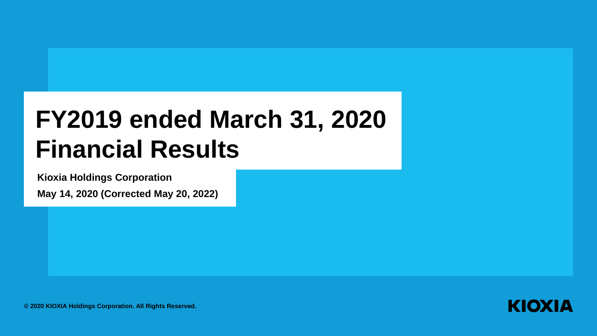# **FY2019 ended March 31, 2020 Financial Results**

**Kioxia Holdings Corporation**

**May 14, 2020 (Corrected May 20, 2022)**



**© 2020 KIOXIA Holdings Corporation. All Rights Reserved.**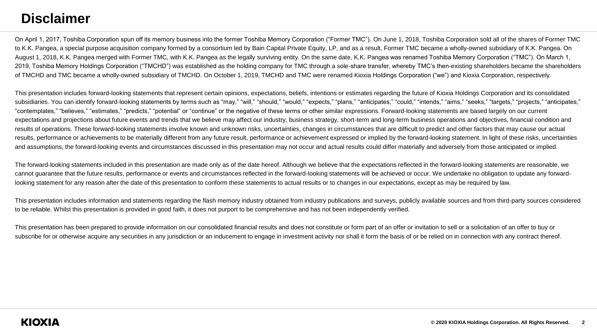## **Disclaimer**

On April 1, 2017, Toshiba Corporation spun off its memory business into the former Toshiba Memory Corporation ("Former TMC"). On June 1, 2018, Toshiba Corporation sold all of the shares of Former TMC to K.K. Pangea, a special purpose acquisition company formed by a consortium led by Bain Capital Private Equity, LP, and as a result, Former TMC became a wholly-owned subsidiary of K.K. Pangea. On August 1, 2018, K.K. Pangea merged with Former TMC, with K.K. Pangea as the legally surviving entity. On the same date, K.K. Pangea was renamed Toshiba Memory Corporation ("TMC"). On March 1, 2019, Toshiba Memory Holdings Corporation ("TMCHD") was established as the holding company for TMC through a sole-share transfer, whereby TMC's then-existing shareholders became the shareholders of TMCHD and TMC became a wholly-owned subsidiary of TMCHD. On October 1, 2019, TMCHD and TMC were renamed Kioxia Holdings Corporation ("we") and Kioxia Corporation, respectively.

This presentation includes forward-looking statements that represent certain opinions, expectations, beliefs, intentions or estimates regarding the future of Kioxia Holdings Corporation and its consolidated subsidiaries. You can identify forward-looking statements by terms such as "may," "will," "should," "would," "expects," "plans," "anticipates," "could," "intends," "aims," "seeks," "targets," "projects," "anticipates," "contemplates," "believes," "estimates," "predicts," "potential" or "continue" or the negative of these terms or other similar expressions. Forward-looking statements are based largely on our current expectations and projections about future events and trends that we believe may affect our industry, business strategy, short-term and long-term business operations and objectives, financial condition and results of operations. These forward-looking statements involve known and unknown risks, uncertainties, changes in circumstances that are difficult to predict and other factors that may cause our actual results, performance or achievements to be materially different from any future result, performance or achievement expressed or implied by the forward-looking statement. In light of these risks, uncertainties and assumptions, the forward-looking events and circumstances discussed in this presentation may not occur and actual results could differ materially and adversely from those anticipated or implied.

The forward-looking statements included in this presentation are made only as of the date hereof. Although we believe that the expectations reflected in the forward-looking statements are reasonable, we cannot guarantee that the future results, performance or events and circumstances reflected in the forward-looking statements will be achieved or occur. We undertake no obligation to update any forwardlooking statement for any reason after the date of this presentation to conform these statements to actual results or to changes in our expectations, except as may be required by law.

This presentation includes information and statements regarding the flash memory industry obtained from industry publications and surveys, publicly available sources and from third-party sources considered to be reliable. Whilst this presentation is provided in good faith, it does not purport to be comprehensive and has not been independently verified.

This presentation has been prepared to provide information on our consolidated financial results and does not constitute or form part of an offer or invitation to sell or a solicitation of an offer to buy or subscribe for or otherwise acquire any securities in any jurisdiction or an inducement to engage in investment activity nor shall it form the basis of or be relied on in connection with any contract thereof.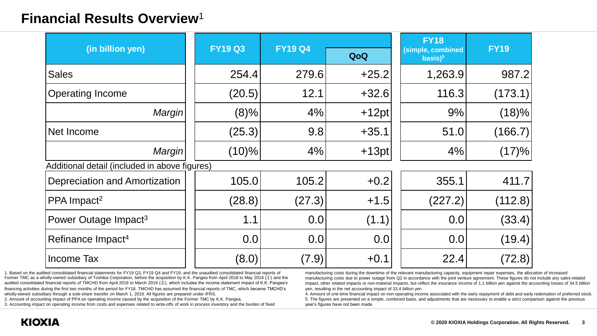### **Financial Results Overview**<sup>1</sup>

|                                               |                |                |         | <b>FY18</b>                                |             |  |
|-----------------------------------------------|----------------|----------------|---------|--------------------------------------------|-------------|--|
| (in billion yen)                              | <b>FY19 Q3</b> | <b>FY19 Q4</b> | QoQ     | (simple, combined<br>$basis)$ <sup>5</sup> | <b>FY19</b> |  |
| <b>Sales</b>                                  | 254.4          | 279.6          | $+25.2$ | 1,263.9                                    | 987.2       |  |
| <b>Operating Income</b>                       | (20.5)         | 12.1           | $+32.6$ | 116.3                                      | (173.1)     |  |
| Margin                                        | (8)%           | 4%             | $+12pt$ | 9%                                         | (18)%       |  |
| Net Income                                    | (25.3)         | 9.8            | $+35.1$ | 51.0                                       | (166.7)     |  |
| Margin                                        | (10)%          | 4%             | $+13pt$ | 4%                                         | (17)%       |  |
| Additional detail (included in above figures) |                |                |         |                                            |             |  |
| Depreciation and Amortization                 | 105.0          | 105.2          | $+0.2$  | 355.1                                      | 411.7       |  |
| PPA Impact <sup>2</sup>                       | (28.8)         | (27.3)         | $+1.5$  | (227.2)                                    | (112.8)     |  |
| Power Outage Impact <sup>3</sup>              | 1.1            | 0.0            | (1.1)   | 0.0                                        | (33.4)      |  |
| Refinance Impact <sup>4</sup>                 | 0.0            | 0.0            | 0.0     | 0.0                                        | (19.4)      |  |
| Income Tax                                    | (8.0)          | (7.9)          | $+0.1$  | 22.4                                       | (72.8)      |  |

1. Based on the audited consolidated financial statements for FY19 Q3, FY19 Q4 and FY19, and the unaudited consolidated financial reports of Former TMC as a wholly-owned subsidiary of Toshiba Corporation, before the acquisition by K.K. Pangea from April 2018 to May 2018 (①) and the audited consolidated financial reports of TMCHD from April 2018 to March 2019 (②), which includes the income statement impact of K.K. Pangea's financing activities during the first two months of the period for FY18. TMCHD has assumed the financial reports of TMC, which became TMCHD's wholly-owned subsidiary through a sole-share transfer on March 1, 2019. All figures are prepared under IFRS.

2. Amount of accounting impact of PPA on operating income caused by the acquisition of the Former TMC by K.K. Pangea.

3. Accounting impact on operating income from costs and expenses related to write-offs of work in process inventory and the burden of fixed

manufacturing costs during the downtime of the relevant manufacturing capacity, equipment repair expenses, the allocation of increased manufacturing costs due to power outage from Q2 in accordance with the joint venture agreement. These figures do not include any sales-related impact, other related impacts or non-material impacts, but reflect the insurance income of 1.1 billion yen against the accounting losses of 34.5 billion yen, resulting in the net accounting impact of 33.4 billion yen.

4. Amount of one-time financial impact on non-operating income associated with the early repayment of debt and early redemption of preferred stock. 5. The figures are presented on a simple, combined basis, and adjustments that are necessary to enable a strict comparison against the previous year's figures have not been made.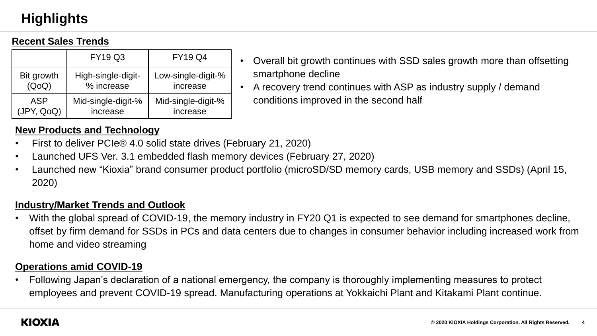# **Highlights**

#### **Recent Sales Trends**

|            | <b>FY19 Q3</b>     | <b>FY19 Q4</b>     |
|------------|--------------------|--------------------|
| Bit growth | High-single-digit- | Low-single-digit-% |
| (QoQ)      | % increase         | increase           |
| <b>ASP</b> | Mid-single-digit-% | Mid-single-digit-% |
| (JPY, QoQ) | increase           | increase           |

- Overall bit growth continues with SSD sales growth more than offsetting smartphone decline
- A recovery trend continues with ASP as industry supply / demand conditions improved in the second half

#### **New Products and Technology**

- First to deliver PCIe® 4.0 solid state drives (February 21, 2020)
- Launched UFS Ver. 3.1 embedded flash memory devices (February 27, 2020)
- Launched new "Kioxia" brand consumer product portfolio (microSD/SD memory cards, USB memory and SSDs) (April 15, 2020)

#### **Industry/Market Trends and Outlook**

• With the global spread of COVID-19, the memory industry in FY20 Q1 is expected to see demand for smartphones decline, offset by firm demand for SSDs in PCs and data centers due to changes in consumer behavior including increased work from home and video streaming

#### **Operations amid COVID-19**

• Following Japan's declaration of a national emergency, the company is thoroughly implementing measures to protect employees and prevent COVID-19 spread. Manufacturing operations at Yokkaichi Plant and Kitakami Plant continue.